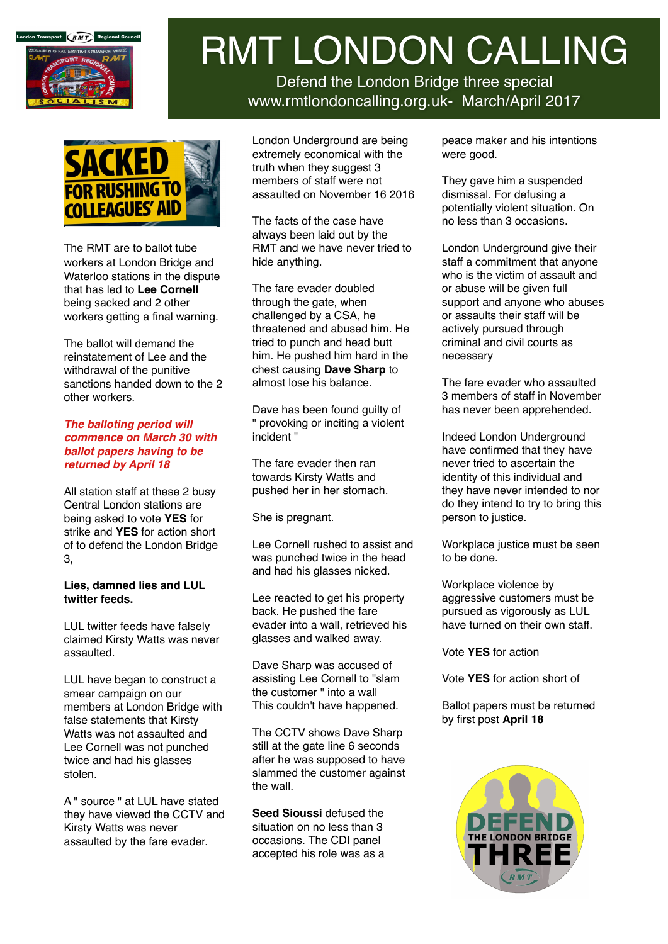

# RMT LONDON CALLING

Defend the London Bridge three special www.rmtlondoncalling.org.uk- March/April 2017



The RMT are to ballot tube workers at London Bridge and Waterloo stations in the dispute that has led to **Lee Cornell** being sacked and 2 other workers getting a final warning.

The ballot will demand the reinstatement of Lee and the withdrawal of the punitive sanctions handed down to the 2 other workers.

#### *The balloting period will commence on March 30 with ballot papers having to be returned by April 18*

All station staff at these 2 busy Central London stations are being asked to vote **YES** for strike and **YES** for action short of to defend the London Bridge 3,

#### **Lies, damned lies and LUL twitter feeds.**

LUL twitter feeds have falsely claimed Kirsty Watts was never assaulted.

LUL have began to construct a smear campaign on our members at London Bridge with false statements that Kirsty Watts was not assaulted and Lee Cornell was not punched twice and had his glasses stolen.

A " source " at LUL have stated they have viewed the CCTV and Kirsty Watts was never assaulted by the fare evader.

London Underground are being extremely economical with the truth when they suggest 3 members of staff were not assaulted on November 16 2016

The facts of the case have always been laid out by the RMT and we have never tried to hide anything.

The fare evader doubled through the gate, when challenged by a CSA, he threatened and abused him. He tried to punch and head butt him. He pushed him hard in the chest causing **Dave Sharp** to almost lose his balance.

Dave has been found guilty of " provoking or inciting a violent incident "

The fare evader then ran towards Kirsty Watts and pushed her in her stomach.

She is pregnant.

Lee Cornell rushed to assist and was punched twice in the head and had his glasses nicked.

Lee reacted to get his property back. He pushed the fare evader into a wall, retrieved his glasses and walked away.

Dave Sharp was accused of assisting Lee Cornell to "slam the customer " into a wall This couldn't have happened.

The CCTV shows Dave Sharp still at the gate line 6 seconds after he was supposed to have slammed the customer against the wall.

**Seed Sioussi** defused the situation on no less than 3 occasions. The CDI panel accepted his role was as a peace maker and his intentions were good.

They gave him a suspended dismissal. For defusing a potentially violent situation. On no less than 3 occasions.

London Underground give their staff a commitment that anyone who is the victim of assault and or abuse will be given full support and anyone who abuses or assaults their staff will be actively pursued through criminal and civil courts as necessary

The fare evader who assaulted 3 members of staff in November has never been apprehended.

Indeed London Underground have confirmed that they have never tried to ascertain the identity of this individual and they have never intended to nor do they intend to try to bring this person to justice.

Workplace justice must be seen to be done.

Workplace violence by aggressive customers must be pursued as vigorously as LUL have turned on their own staff.

Vote **YES** for action

Vote **YES** for action short of

Ballot papers must be returned by first post **April 18**